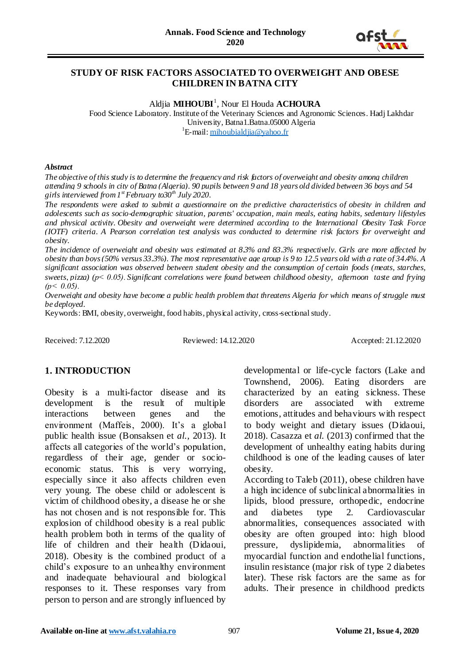

### **STUDY OF RISK FACTORS ASSOCIATED TO OVERWEIGHT AND OBESE CHILDREN IN BATNA CITY**

Aldjia **MIHOUBI**<sup>1</sup> , Nour El Houda **ACHOURA** Food Science Laboratory. Institute of the Veterinary Sciences and Agronomic Sciences. Hadj Lakhdar University, Batna1.Batna.05000 Algeria <sup>1</sup>E-mail: [mihoubialdjia@yahoo.fr](mailto:mihoubialdjia@yahoo.fr)

#### *Abstract*

*The objective of this study is to determine the frequency and risk factors of overweight and obesity among children attending 9 schools in city of Batna (Algeria). 90 pupils between 9 and 18 years old divided between 36 boys and 54 girls interviewed from 1st February to30th July 2020.* 

*The respondents were asked to submit a questionnaire on the predictive characteristics of obesity in children and adolescents such as socio-demographic situation, parents' occupation, main meals, eating habits, sedentary lifestyles and physical activity. Obesity and overweight were determined according to the International Obesity Task Force (IOTF) criteria. A Pearson correlation test analysis was conducted to determine risk factors for overweight and obesity.*

*The incidence of overweight and obesity was estimated at 8.3% and 83.3% respectively. Girls are more affected by obesity than boys (50% versus 33.3%). The most representative age group is 9 to 12.5 years old with a rate of 34.4%. A significant association was observed between student obesity and the consumption of certain foods (meats, starches, sweets, pizza) (p˂ 0.05). Significant correlations were found between childhood obesity, afternoon taste and frying*   $(p < 0.05)$ .

*Overweight and obesity have become a public health problem that threatens Algeria for which means of struggle must be deployed.*

Keywords: BMI, obesity, overweight, food habits, physical activity[, cross-sectional study.](https://context.reverso.net/traduction/anglais-francais/cross-sectional+study)

Received: 7.12.2020 Reviewed: 14.12.2020 Accepted: 21.12.2020

# **1. INTRODUCTION**

Obesity is a multi-factor disease and its development is the result of multiple interactions between genes and the environment (Maffeis, 2000). It's a global public health issue (Bonsaksen et *al.,* 2013). It affects all categories of the world"s population, regardless of their age, gender or socioeconomic status. This is very worrying, especially since it also affects children even very young. The obese child or adolescent is victim of childhood obesity, a disease he or she has not chosen and is not responsible for. This explosion of childhood obesity is a real public health problem both in terms of the quality of life of children and their health (Didaoui, 2018). Obesity is the combined product of a child"s exposure to an unhealthy environment and inadequate behavioural and biological responses to it. These responses vary from person to person and are strongly influenced by

developmental or life-cycle factors (Lake and Townshend, 2006). Eating disorders are characterized by an eating sickness. These disorders are associated with extreme emotions, attitudes and behaviours with respect to body weight and dietary issues (Didaoui, 2018). Casazza et *al.* (2013) confirmed that the development of unhealthy eating habits during childhood is one of the leading causes of later obesity.

According to Taleb (2011), obese children have a high incidence of subclinical abnormalities in lipids, blood pressure, orthopedic, endocrine and diabetes type 2. Cardiovascular abnormalities, consequences associated with obesity are often grouped into: high blood pressure, dyslipidemia, abnormalities of myocardial function and endothelial functions, insulin resistance (major risk of type 2 diabetes later). These risk factors are the same as for adults. Their presence in childhood predicts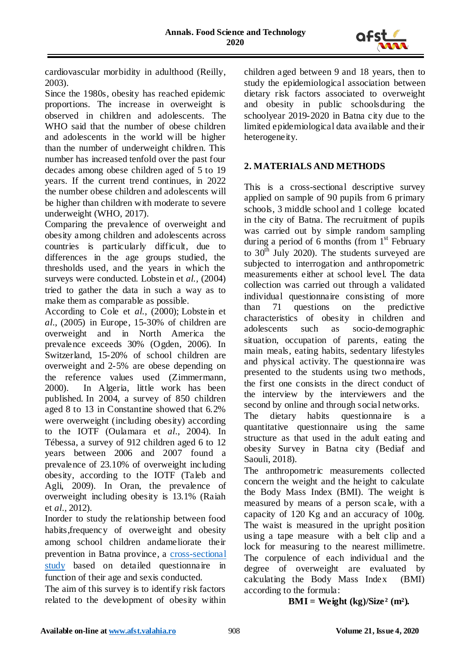

cardiovascular morbidity in adulthood (Reilly, 2003).

Since the 1980s, obesity has reached epidemic proportions. The increase in overweight is observed in children and adolescents. The WHO said that the number of obese children and adolescents in the world will be higher than the number of underweight children. This number has increased tenfold over the past four decades among obese children aged of 5 to 19 years. If the current trend continues, in 2022 the number obese children and adolescents will be higher than children with moderate to severe underweight (WHO, 2017).

Comparing the prevalence of overweight and obesity among children and adolescents across countries is particularly difficult, due to differences in the age groups studied, the thresholds used, and the years in which the surveys were conducted. Lobstein et *al.,* (2004) tried to gather the data in such a way as to make them as comparable as possible.

According to Cole et *al.*, (2000); Lobstein et *al*., (2005) in Europe, 15-30% of children are overweight and in North America the prevalence exceeds 30% (Ogden, 2006). In Switzerland, 15-20% of school children are overweight and 2-5% are obese depending on the reference values used (Zimmermann, 2000). In Algeria, little work has been published. In 2004, a survey of 850 children aged 8 to 13 in Constantine showed that 6.2% were overweight (including obesity) according to the IOTF (Oulamara et *al*., 2004). In Tébessa, a survey of 912 children aged 6 to 12 years between 2006 and 2007 found a prevalence of 23.10% of overweight including obesity, according to the IOTF (Taleb and Agli, 2009). In Oran, the prevalence of overweight including obesity is 13.1% (Raiah et *al*., 2012).

Inorder to study the relationship between food habits,frequency of overweight and obesity among school children andameliorate their prevention in Batna province, a [cross-sectional](https://context.reverso.net/traduction/anglais-francais/cross-sectional+study)  [study](https://context.reverso.net/traduction/anglais-francais/cross-sectional+study) based on detailed questionnaire in function of their age and sexis conducted.

The aim of this survey is to identify risk factors related to the development of obesity within children aged between 9 and 18 years, then to study the epidemiological association between dietary risk factors associated to overweight and obesity in public schoolsduring the schoolyear 2019-2020 in Batna city due to the limited epidemiological data available and their heterogeneity.

# **2. MATERIALS AND METHODS**

This is a cross-sectional descriptive survey applied on sample of 90 pupils from 6 primary schools, 3 middle school and 1 college located in the city of Batna. The recruitment of pupils was carried out by simple random sampling during a period of 6 months (from 1<sup>st</sup> February to  $30<sup>th</sup>$  July 2020). The students surveyed are subjected to interrogation and anthropometric measurements either at school level. The data collection was carried out through a validated individual questionnaire consisting of more than 71 questions on the predictive characteristics of obesity in children and adolescents such as socio-demographic situation, occupation of parents, eating the main meals, eating habits, sedentary lifestyles and physical activity. The questionnaire was presented to the students using two methods, the first one consists in the direct conduct of the interview by the interviewers and the second by online and through social networks.

The dietary habits questionnaire is a quantitative questionnaire using the same structure as that used in the adult eating and obesity Survey in Batna city (Bediaf and Saouli, 2018).

The anthropometric measurements collected concern the weight and the height to calculate the Body Mass Index (BMI). The weight is measured by means of a person sca le, with a capacity of 120 Kg and an accuracy of 100g. The waist is measured in the upright position using a tape measure with a belt clip and a lock for measuring to the nearest millimetre. The corpulence of each individual and the degree of overweight are evaluated by calculating the Body Mass Index (BMI) according to the formula:

 $BMI = Weight (kg)/Size<sup>2</sup> (m<sup>2</sup>).$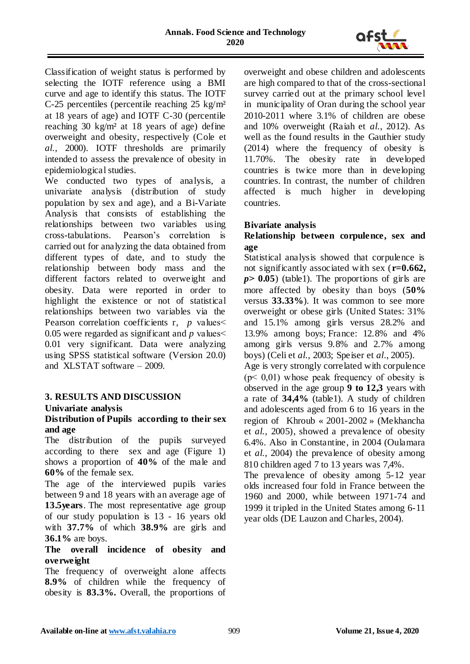

Classification of weight status is performed by selecting the IOTF reference using a BMI curve and age to identify this status. The IOTF C-25 percentiles (percentile reaching 25 kg/m² at 18 years of age) and IOTF C-30 (percentile reaching 30 kg/m² at 18 years of age) define overweight and obesity, respectively (Cole et *al.,* 2000). IOTF thresholds are primarily intended to assess the prevalence of obesity in epidemiological studies.

We conducted two types of analysis, a univariate analysis (distribution of study population by sex and age), and a Bi-Variate Analysis that consists of establishing the relationships between two variables using cross-tabulations. Pearson"s correlation is carried out for analyzing the data obtained from different types of date, and to study the relationship between body mass and the different factors related to overweight and obesity. Data were reported in order to highlight the existence or not of statistical relationships between two variables via the Pearson correlation coefficients r, *p* values 0.05 were regarded as significant and *p* values˂ 0.01 very significant. Data were analyzing using SPSS statistical software (Version 20.0) and XLSTAT software – 2009.

# **3. RESULTS AND DISCUSSION**

### **Univariate analysis**

## **Distribution of Pupils according to their sex and age**

The distribution of the pupils surveyed according to there sex and age (Figure 1) shows a proportion of **40%** of the male and **60%** of the female sex.

The age of the interviewed pupils varies between 9 and 18 years with an average age of **13.5years**. The most representative age group of our study population is 13 - 16 years old with **37.7%** of which **38.9%** are girls and **36.1%** are boys.

### **The overall incidence of obesity and overweight**

The frequency of overweight alone affects **8.9%** of children while the frequency of obesity is **83.3%.** Overall, the proportions of overweight and obese children and adolescents are high compared to that of the cross-sectional survey carried out at the primary school level in municipality of Oran during the school year 2010-2011 where 3.1% of children are obese and 10% overweight (Raiah et *al.*, 2012). As well as the found results in the Gauthier study (2014) where the frequency of obesity is 11.70%. The obesity rate in developed countries is twice more than in developing countries. In contrast, the number of children affected is much higher in developing countries.

### **Bivariate analysis**

## **Relationship between corpulence, sex and age**

Statistical analysis showed that corpulence is not significantly associated with sex (**r=0.662,**   $p > 0.05$ ) (table1). The proportions of girls are more affected by obesity than boys (**50%** versus **33.33%**). It was common to see more overweight or obese girls (United States: 31% and 15.1% among girls versus 28.2% and 13.9% among boys; France: 12.8% and 4% among girls versus 9.8% and 2.7% among boys) (Celi et *al.,* 2003; Speiser et *al*., 2005).

Age is very strongly correlated with corpulence  $(p< 0.01)$  whose peak frequency of obesity is observed in the age group **9 to 12,3** years with a rate of **34,4%** (table1). A study of children and adolescents aged from 6 to 16 years in the region of Khroub « 2001-2002 » (Mekhancha et *al.,* 2005), showed a prevalence of obesity 6.4%. Also in Constantine, in 2004 (Oulamara et *al.*, 2004) the prevalence of obesity among 810 children aged 7 to 13 years was 7,4%.

The prevalence of obesity among 5-12 year olds increased four fold in France between the 1960 and 2000, while between 1971-74 and 1999 it tripled in the United States among 6-11 year olds (DE Lauzon and Charles, 2004).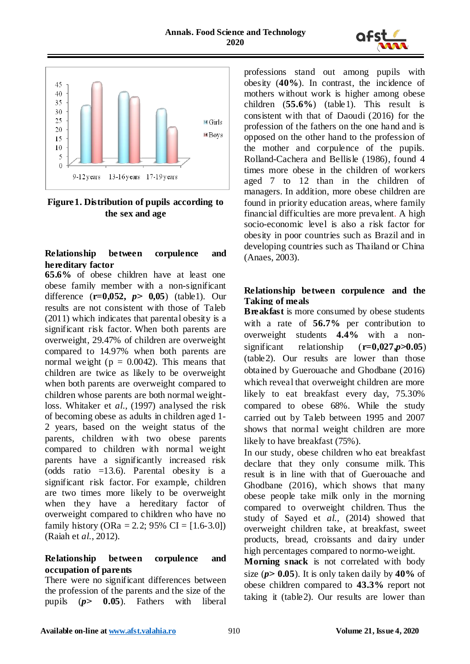



**Figure1. Distribution of pupils according to the sex and age**

# **Relationship between corpulence and hereditary factor**

**65.6%** of obese children have at least one obese family member with a non-significant difference (**r=0,052,** *p***˃ 0,05**) (table1). Our results are not consistent with those of Taleb (2011) which indicates that parental obesity is a significant risk factor. When both parents are overweight, 29.47% of children are overweight compared to 14.97% when both parents are normal weight ( $p = 0.0042$ ). This means that children are twice as likely to be overweight when both parents are overweight compared to children whose parents are both normal weightloss. Whitaker et *al*., (1997) analysed the risk of becoming obese as adults in children aged 1- 2 years, based on the weight status of the parents, children with two obese parents compared to children with normal weight parents have a significantly increased risk (odds ratio  $=13.6$ ). Parental obesity is a significant risk factor. For example, children are two times more likely to be overweight when they have a hereditary factor of overweight compared to children who have no family history (ORa = 2.2; 95% CI =  $[1.6-3.0]$ ) (Raiah et *al.*, 2012).

## **Relationship between corpulence and occupation of parents**

There were no significant differences between the profession of the parents and the size of the pupils (*p***˃ 0.05**). Fathers with liberal

professions stand out among pupils with obesity (**40%**). In contrast, the incidence of mothers without work is higher among obese children (**55.6%**) (table1). This result is consistent with that of Daoudi (2016) for the profession of the fathers on the one hand and is opposed on the other hand to the profession of the mother and corpulence of the pupils. Rolland-Cachera and Bellisle (1986), found 4 times more obese in the children of workers aged 7 to 12 than in the children of managers. In addition, more obese children are found in priority education areas, where family financial difficulties are more prevalent. A high socio-economic level is also a risk factor for obesity in poor countries such as Brazil and in developing countries such as Thailand or China (Anaes, 2003).

## **Relationship between corpulence and the Taking of meals**

**Breakfast** is more consumed by obese students with a rate of **56.7%** per contribution to overweight students **4.4%** with a nonsignificant relationship  $(r=0.027, p>0.05)$ (table2). Our results are lower than those obtained by Guerouache and Ghodbane (2016) which reveal that overweight children are more likely to eat breakfast every day, 75.30% compared to obese 68%. While the study carried out by Taleb between 1995 and 2007 shows that normal weight children are more likely to have breakfast (75%).

In our study, obese children who eat breakfast declare that they only consume milk. This result is in line with that of Guerouache and Ghodbane (2016), which shows that many obese people take milk only in the morning compared to overweight children. Thus the study of Sayed et *al.,* (2014) showed that overweight children take, at breakfast, sweet products, bread, croissants and dairy under high percentages compared to normo-weight.

**Morning snack** is not correlated with body size ( $p$  $>$  **0.05**). It is only taken daily by 40% of obese children compared to **43.3%** report not taking it (table2). Our results are lower than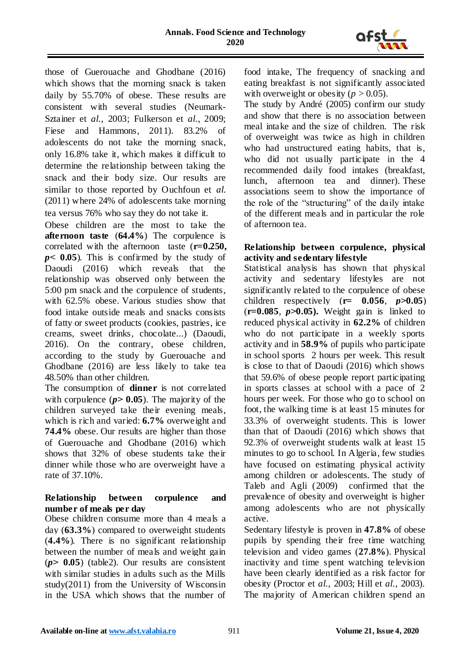

those of Guerouache and Ghodbane (2016) which shows that the morning snack is taken daily by 55.70% of obese. These results are consistent with several studies (Neumark-Sztainer et *al.*, 2003; Fulkerson et *al.*, 2009; Fiese and Hammons, 2011). 83.2% of adolescents do not take the morning snack, only 16.8% take it, which makes it difficult to determine the relationship between taking the snack and their body size. Our results are similar to those reported by Ouchfoun et *al.* (2011) where 24% of adolescents take morning tea versus 76% who say they do not take it.

Obese children are the most to take the **afternoon taste** (**64.4%**) The corpulence is correlated with the afternoon taste (**r=0.250,**  *p***˂ 0.05**). This is confirmed by the study of Daoudi (2016) which reveals that the relationship was observed only between the 5:00 pm snack and the corpulence of students, with 62.5% obese. Various studies show that food intake outside meals and snacks consists of fatty or sweet products (cookies, pastries, ice creams, sweet drinks, chocolate...) (Daoudi, 2016). On the contrary, obese children, according to the study by Guerouache and Ghodbane (2016) are less likely to take tea 48.50% than other children.

The consumption of **dinner** is not correlated with corpulence  $(p > 0.05)$ . The majority of the children surveyed take their evening meals, which is rich and varied: **6.7%** overweight and **74.4%** obese. Our results are higher than those of Guerouache and Ghodbane (2016) which shows that 32% of obese students take their dinner while those who are overweight have a rate of 37.10%.

## **Relationship between corpulence and number of meals per day**

Obese children consume more than 4 meals a day (**63.3%**) compared to overweight students (**4.4%**). There is no significant relationship between the number of meals and weight gain  $(p > 0.05)$  (table 2). Our results are consistent with similar studies in adults such as the Mills study(2011) from the University of Wisconsin in the USA which shows that the number of

food intake, The frequency of snacking and eating breakfast is not significantly associated with overweight or obesity ( $p > 0.05$ ).

The study by André (2005) confirm our study and show that there is no association between meal intake and the size of children. The risk of overweight was twice as high in children who had unstructured eating habits, that is, who did not usually participate in the 4 recommended daily food intakes (breakfast, lunch, afternoon tea and dinner). These associations seem to show the importance of the role of the "structuring" of the daily intake of the different meals and in particular the role of afternoon tea.

### **Relationship between corpulence, physical activity and sedentary lifestyle**

Statistical analysis has shown that physical activity and sedentary lifestyles are not significantly related to the corpulence of obese children respectively  $(r= 0.056, p>0.05)$  $(r=0.085, p>0.05)$ . Weight gain is linked to reduced physical activity in **62.2%** of children who do not participate in a weekly sports activity and in **58.9%** of pupils who participate in school sports 2 hours per week. This result is close to that of Daoudi (2016) which shows that 59.6% of obese people report participating in sports classes at school with a pace of 2 hours per week. For those who go to school on foot, the walking time is at least 15 minutes for 33.3% of overweight students. This is lower than that of Daoudi (2016) which shows that 92.3% of overweight students walk at least 15 minutes to go to school. In Algeria, few studies have focused on estimating physical activity among children or adolescents. The study of Taleb and Agli (2009) confirmed that the prevalence of obesity and overweight is higher among adolescents who are not physically active.

Sedentary lifestyle is proven in **47.8%** of obese pupils by spending their free time watching television and video games (**27.8%**). Physical inactivity and time spent watching television have been clearly identified as a risk factor for obesity (Proctor et *al.*, 2003; Hill et *al.*, 2003). The majority of American children spend an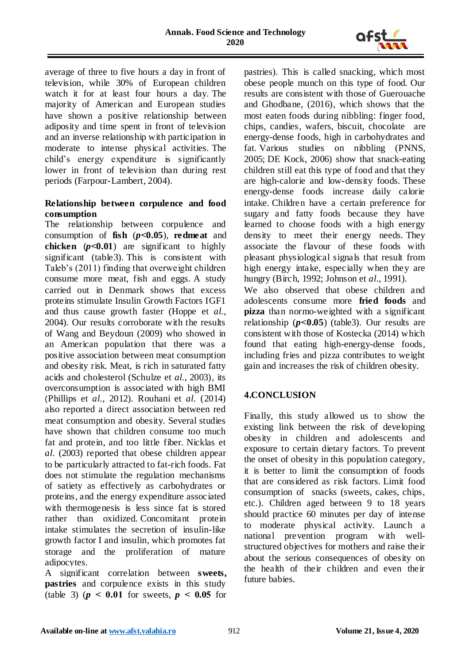

average of three to five hours a day in front of television, while 30% of European children watch it for at least four hours a day. The majority of American and European studies have shown a positive relationship between adiposity and time spent in front of television and an inverse relationship with participation in moderate to intense physical activities. The child"s energy expenditure is significantly lower in front of television than during rest periods (Farpour-Lambert, 2004).

## **Relationship between corpulence and food consumption**

The relationship between corpulence and consumption of **fish** (*p***˂0.05**), **redmeat** and **chicken**  $(p<0.01)$  are significant to highly significant (table3). This is consistent with Taleb"s (2011) finding that overweight children consume more meat, fish and eggs. A study carried out in Denmark shows that excess proteins stimulate Insulin Growth Factors IGF1 and thus cause growth faster (Hoppe et *al.*, 2004). Our results corroborate with the results of Wang and Beydoun (2009) who showed in an American population that there was a positive association between meat consumption and obesity risk. Meat, is rich in saturated fatty acids and cholesterol (Schulze et *al.*, 2003), its overconsumption is associated with high BMI (Phillips et *al*., 2012). Rouhani et *al*. (2014) also reported a direct association between red meat consumption and obesity. Several studies have shown that children consume too much fat and protein, and too little fiber. Nicklas et *al*. (2003) reported that obese children appear to be particularly attracted to fat-rich foods. Fat does not stimulate the regulation mechanisms of satiety as effectively as carbohydrates or proteins, and the energy expenditure associated with thermogenesis is less since fat is stored rather than oxidized. Concomitant protein intake stimulates the secretion of insulin-like growth factor I and insulin, which promotes fat storage and the proliferation of mature adipocytes.

A significant correlation between **sweets, pastries** and corpulence exists in this study (table 3) ( $p < 0.01$  for sweets,  $p < 0.05$  for pastries). This is called snacking, which most obese people munch on this type of food. Our results are consistent with those of Guerouache and Ghodbane, (2016), which shows that the most eaten foods during nibbling: finger food, chips, candies, wafers, biscuit, chocolate are energy-dense foods, high in carbohydrates and fat. Various studies on nibbling (PNNS, 2005; DE Kock, 2006) show that snack-eating children still eat this type of food and that they are high-calorie and low-density foods. These energy-dense foods increase daily calorie intake. Children have a certain preference for sugary and fatty foods because they have learned to choose foods with a high energy density to meet their energy needs. They associate the flavour of these foods with pleasant physiological signals that result from high energy intake, especially when they are hungry (Birch, 1992; Johnson et *al*., 1991).

We also observed that obese children and adolescents consume more **fried foods** and **pizza** than normo-weighted with a significant relationship (*p***˂0.05**) (table3). Our results are consistent with those of Kostecka (2014) which found that eating high-energy-dense foods, including fries and pizza contributes to weight gain and increases the risk of children obesity.

# **4.CONCLUSION**

Finally, this study allowed us to show the existing link between the risk of developing obesity in children and adolescents and exposure to certain dietary factors. To prevent the onset of obesity in this population category, it is better to limit the consumption of foods that are considered as risk factors. Limit food consumption of snacks (sweets, cakes, chips, etc.). Children aged between 9 to 18 years should practice 60 minutes per day of intense to moderate physical activity. Launch a national prevention program with wellstructured objectives for mothers and raise their about the serious consequences of obesity on the health of their children and even their future babies.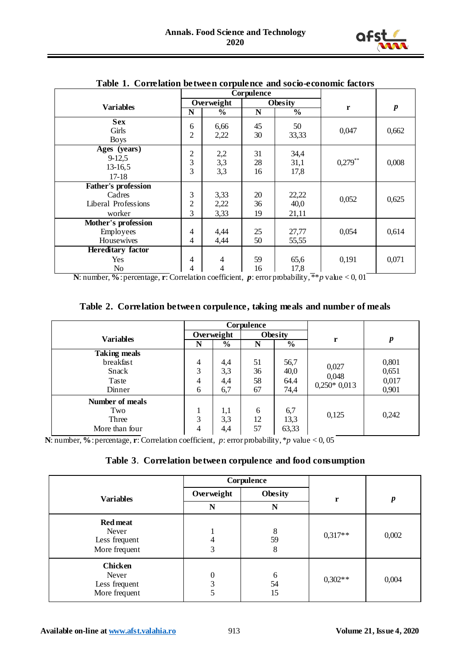

|                                                                       | Corpulence               |                               |                |                        |            |                  |
|-----------------------------------------------------------------------|--------------------------|-------------------------------|----------------|------------------------|------------|------------------|
| <b>Variables</b>                                                      |                          | Overweight                    |                | Obesity                |            |                  |
|                                                                       | N                        | $\frac{6}{9}$                 | N              | $\frac{0}{0}$          | r          | $\boldsymbol{p}$ |
| <b>Sex</b><br>Girls<br><b>Boys</b>                                    | 6<br>$\overline{2}$      | 6,66<br>2,22                  | 45<br>30       | 50<br>33,33            | 0,047      | 0,662            |
| Ages (years)<br>$9-12,5$<br>$13-16,5$<br>$17-18$                      | $\overline{2}$<br>3<br>3 | 2,2<br>3,3<br>3,3             | 31<br>28<br>16 | 34,4<br>31,1<br>17,8   | $0,279$ ** | 0,008            |
| <b>Father's profession</b><br>Cadres<br>Liberal Professions<br>worker | 3<br>$\overline{c}$<br>3 | 3,33<br>2,22<br>3,33          | 20<br>36<br>19 | 22,22<br>40,0<br>21,11 | 0,052      | 0,625            |
| Mother's profession<br>Employees<br>Housewives                        | 4<br>4                   | 4,44<br>4,44                  | 25<br>50       | 27,77<br>55,55         | 0,054      | 0,614            |
| <b>Hereditary factor</b><br>Yes<br>No                                 | 4<br>4                   | $\overline{\mathcal{A}}$<br>4 | 59<br>16       | 65,6<br>17,8           | 0,191      | 0,071            |

**Table 1. Correlation between corpulence and socio-economic factors**

**N**: number, **%**: percentage, **r**: Correlation coefficient, *p*: error probability, \*\**p* value < 0, 01

**Table 2. Correlation between corpulence, taking meals and number of meals**

|                     | Corpulence |               |         |                         |               |       |
|---------------------|------------|---------------|---------|-------------------------|---------------|-------|
| <b>Variables</b>    | Overweight |               | Obesity |                         |               |       |
|                     | N          | $\frac{0}{0}$ | N       | $\overline{\mathbf{0}}$ | r             | p     |
| <b>Taking meals</b> |            |               |         |                         |               |       |
| breakfast           | 4          | 4,4           | 51      | 56,7                    | 0,027         | 0,801 |
| Snack               | 3          | 3,3           | 36      | 40,0                    | 0,048         | 0,651 |
| Taste               | 4          | 4,4           | 58      | 64.4                    | $0,250*0,013$ | 0,017 |
| Dinner              | 6          | 6,7           | 67      | 74,4                    |               | 0,901 |
| Number of meals     |            |               |         |                         |               |       |
| Two                 |            | 1,1           | 6       | 6,7                     |               |       |
| Three               | 3          | 3,3           | 12      | 13,3                    | 0,125         | 0,242 |
| More than four      | 4          | 4,4           | 57      | 63,33                   |               |       |

**N**: number, **%**: percentage, **r**: Correlation coefficient, *p*: error probability, \**p* value < 0, 05

#### **Table 3**. **Correlation between corpulence and food consumption**

|                                                            |                              | Corpulence    |           |                  |
|------------------------------------------------------------|------------------------------|---------------|-----------|------------------|
| <b>Variables</b>                                           | Overweight<br><b>Obesity</b> |               | r         | $\boldsymbol{p}$ |
|                                                            | N                            | N             |           |                  |
| <b>Red meat</b><br>Never<br>Less frequent<br>More frequent | 4<br>3                       | 8<br>59<br>8  | $0,317**$ | 0,002            |
| <b>Chicken</b><br>Never<br>Less frequent<br>More frequent  | $\theta$<br>3                | 6<br>54<br>15 | $0,302**$ | 0,004            |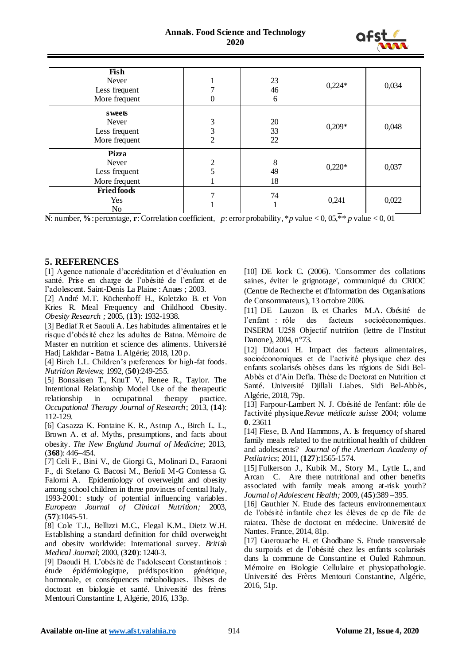

| Fish<br>Never<br>Less frequent<br>More frequent         | 0                        | 23<br>46<br>6  | $0,224*$ | 0,034 |
|---------------------------------------------------------|--------------------------|----------------|----------|-------|
| sweets<br>Never<br>Less frequent<br>More frequent       | 3<br>3<br>$\overline{2}$ | 20<br>33<br>22 | $0,209*$ | 0,048 |
| <b>Pizza</b><br>Never<br>Less frequent<br>More frequent | $\overline{2}$<br>5      | 8<br>49<br>18  | $0,220*$ | 0,037 |
| <b>Fried foods</b><br>Yes<br>No                         |                          | 74             | 0,241    | 0,022 |

**N**: number, %: percentage, **r**: Correlation coefficient, *p*: error probability, \**p* value < 0, 05, \*\* *p* value < 0, 01

#### **5. REFERENCES**

[1] Agence nationale d"accréditation et d"évaluation en santé. Prise en charge de l"obésité de l"enfant et de l"adolescent. Saint-Denis La Plaine : Anaes ; 2003.

[2] André M.T. Küchenhoff H., Koletzko B. et Von Kries R. Meal Frequency and Childhood Obesity. *Obesity Research ;* 2005, (**13**): 1932-1938.

[3] Bediaf R et Saouli A. Les habitudes alimentaires et le risque d"obésité chez les adultes de Batna. Mémoire de Master en nutrition et science des aliments. Université Hadj Lakhdar - Batna 1. Algérie; 2018, 120 p.

[4] Birch L.L. Children"s preferences for high-fat foods. *Nutrition Reviews*; 1992, (**50**):249-255.

[5] Bonsaksen T., KnuT V., Renee R., Taylor. The Intentional Relationship Model Use of the therapeutic relationship in occupational therapy practice. *Occupational Therapy Journal of Research*; 2013, (**14**): 112-129.

[6] Casazza K. Fontaine K. R., Astrup A., Birch L. L., Brown A. et *al*. Myths, presumptions, and facts about obesity. *The New England Journal of Medicine*; 2013, (**368**): 446–454.

[7] Celi F., Bini V., de Giorgi G., Molinari D., Faraoni F., di Stefano G. Bacosi M., Berioli M-G Contessa G. Falorni A. Epidemiology of overweight and obesity among school children in three provinces of central Italy, 1993-2001: study of potential influencing variables. *European Journal of Clinical Nutrition;* 2003, (**57**):1045-51.

[8] Cole T.J., Bellizzi M.C., Flegal K.M., Dietz W.H. Establishing a standard definition for child overweight and obesity worldwide: International survey. *British Medical Journal*; 2000, (**320**): 1240-3.

[9] Daoudi H. L"obésité de l"adolescent Constantinois : étude épidémiologique, prédisposition génétique, hormonale, et conséquences métaboliques. Thèses de doctorat en biologie et santé. Université des frères Mentouri Constantine 1, Algérie, 2016, 133p.

[10] DE kock C. (2006). 'Consommer des collations saines, éviter le grignotage', communiqué du CRIOC (Centre de Recherche et d'Information des Organisations de Consommateurs), 13 octobre 2006.

[11] DE Lauzon B. et Charles M.A. Obésité de l"enfant : rôle des facteurs socioéconomiques. INSERM U258 Objectif nutrition (lettre de l"Institut Danone), 2004, n°73.

[12] Didaoui H. Impact des facteurs alimentaires, socioéconomiques et de l"activité physique chez des enfants scolarisés obèses dans les régions de Sidi Bel-Abbès et d"Ain Defla. Thèse de Doctorat en Nutrition et Santé. Université Djillali Liabes. Sidi Bel-Abbès, Algérie, 2018, 79p.

[13] Farpour-Lambert N. J. Obésité de l'enfant: rôle de l'activité physique.*Revue médicale suisse* 2004; volume **0**. 23611

[14] Fiese, B. And Hammons, A. Is frequency of shared family meals related to the nutritional health of children and adolescents? *Journal of the American Academy of Pediatrics*; 2011, (**127**):1565-1574.

[15] Fulkerson J., Kubik M., Story M., Lytle L., and Arcan C. Are there nutritional and other benefits associated with family meals among at-risk youth? *Journal of Adolescent Health;* 2009, (**45**):389 –395.

[16] Gauthier N. Etude des facteurs environnementaux de l"obésité infantile chez les élèves de cp de l'île de raiatea. Thèse de doctorat en médecine. Université de Nantes. France, 2014, 81p.

[17] Guerouache H. et Ghodbane S. Etude transversale du surpoids et de l"obésité chez les enfants scolarisés dans la commune de Constantine et Ouled Rahmoun. Mémoire en Biologie Cellulaire et physiopathologie. Université des Frères Mentouri Constantine, Algérie, 2016, 51p.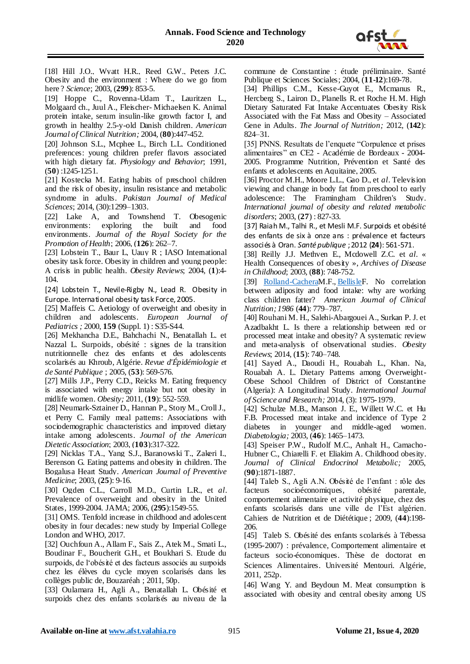

[18] Hill J.O., Wyatt H.R., Reed G.W., Peters J.C. Obesity and the environment : Where do we go from here ? *Science*; 2003, (**299**): 853-5.

[19] Hoppe C., Rovenna-Udam T., Lauritzen L., Molgaard ch., Juul A., Fleischer- Michaelsen K. Animal protein intake, serum insulin-like growth factor I, and growth in healthy 2.5-y-old Danish children. *American Journal of Clinical Nutrition;* 2004*,* (**80**):447-452.

[20] Johnson S.L., Mcphee L., Birch L.L. Conditioned preferences: young children prefer flavors associated with high dietary fat. *Physiology and Behavior*; 1991, (**50**) :1245-1251.

[21] Kostecka M. Eating habits of preschool children and the risk of obesity, insulin resistance and metabolic syndrome in adults. *Pakistan Journal of Medical Sciences*; 2014, (30):1299–1303.

[22] Lake A, and Townshend T. Obesogenic environments: exploring the built and food environments. *Journal of the Royal Society for the Promotion of Health*; 2006, (**126**): 262–7.

[23] Lobstein T., Baur L, Uauy R; IASO International obesity task force. Obesity in children and young people: A crisis in public health. *Obesity Reviews*; 2004, (**1**):4- 104.

[24] Lobstein T., Nevile-Rigby N., Lead R. Obesity in Europe. International obesity task Force, 2005.

[25] Maffeis C. Aetiology of overweight and obesity in children and adolescents. *European Journal of Pediatrics ;* 2000, **159** (Suppl. 1) : S35-S44.

[26] Mekhancha D.E., Bahchachi N., Benatallah L. et Nazzal L. Surpoids, obésité : signes de la transition nutritionnelle chez des enfants et des adolescents scolarisés au Khroub, Algérie. *Revue d'Épidémiologie et de Santé Publique* ; 2005, (**53**): 569-576.

[27] Mills J.P., Perry C.D., Reicks M. Eating frequency is associated with energy intake but not obesity in midlife women. *Obesity;* 2011*,* (**19**): 552-559.

[28] Neumark-Sztainer D., Hannan P., Story M., Croll J., et Perry C. Family meal patterns: Associations with sociodemographic characteristics and improved dietary intake among adolescents. *Journal of the American Dietetic Association*; 2003, (**103**):317-322.

[29] Nicklas T.A., Yang S.J., Baranowski T., Zakeri I., Berenson G. Eating patterns and obesity in children. The Bogalusa Heart Study. *American Journal of Preventive Medicine*; 2003, (**25**): 9-16.

[30] Ogden C.L., Carroll M.D., Curtin L.R., et *al*. Prevalence of overweight and obesity in the United States, 1999-2004. JAMA; 2006, (**295**):1549-55.

[31] OMS. Tenfold increase in childhood and adolescent obesity in four decades: new study by Imperial College London and WHO, 2017.

[32] Ouchfoun A., Allam F., Sais Z., Atek M., Smati L., Boudinar F., Boucherit G.H., et Boukhari S. Etude du surpoids, de l"obésité et des facteurs associés au surpoids chez les élèves du cycle moyen scolarisés dans les collèges public de, Bouzaréah ; 2011, 50p.

[33] Oulamara H., Agli A., Benatallah L. Obésité et surpoids chez des enfants scolarisés au niveau de la

commune de Constantine : étude préliminaire. Santé Publique et Sciences Sociales; 2004, (**11-12**):169-78.

[34] Phillips C.M., Kesse-Guyot E., Mcmanus R., Hercberg S., Lairon D., Planells R. et Roche H. M. High Dietary Saturated Fat Intake Accentuates Obesity Risk Associated with the Fat Mass and Obesity – Associated Gene in Adults. *The Journal of Nutrition;* 2012*,* (**142**): 824–31.

[35] PNNS. Resultats de l'enquete "Corpulence et prises" alimentaires" en CE2 - Académie de Bordeaux - 2004- 2005. Programme Nutrition, Prévention et Santé des enfants et adolescents en Aquitaine, 2005.

[36] Proctor M.H., Moore L.L., Gao D., et *al*. Television viewing and change in body fat from preschool to early adolescence: The Framingham Children's Study. *International journal of obesity and related metabolic disorders*; 2003, (**27**) : 827-33.

[37] Raiah M., Talhi R., et Mesli M.F. Surpoids et obésité des enfants de six à onze ans : prévalence et facteurs associés à Oran. *Santé publique* ; 2012 (**24**): 561-571.

[38] Reilly J.J. Methven E., Mcdowell Z.C. et *al.* « Health Consequences of obesity », *Archives of Disease in Childhood*; 2003, (**88**): 748-752.

[\[39\] Rolland-CacheraM](javascript:;).F., [BellisleF](javascript:;). No correlation between adiposity and food intake: why are working class children fatter? *American Journal of Clinical Nutrition; 1986* (**44**): 779–787.

[40] Rouhani M. H., Salehi-Abargouei A., Surkan P. J. et Azadbakht L. Is there a relationship between red or processed meat intake and obesity? A systematic review and meta-analysis of observational studies. *Obesity Reviews*; 2014, (**15**): 740–748.

[41] Sayed A., Daoudi H., Rouabah L., Khan. Na, Rouabah A. L. Dietary Patterns among Overweight-Obese School Children of District of Constantine (Algeria): A Longitudinal Study. *International Journal of Science and Research;* 2014, (3): 1975-1979.

[42] Schulze M.B., Manson J. E., Willett W.C. et Hu F.B. Processed meat intake and incidence of Type 2 diabetes in younger and middle-aged women. *Diabetologia;* 2003, (**46**): 1465–1473.

[43] Speiser P.W., Rudolf M.C., Anhalt H., Camacho-Hubner C., Chiarelli F. et Eliakim A. Childhood obesity. *Journal of Clinical Endocrinol Metabolic;* 2005, (**90**):1871-1887.

[44] Taleb S., Agli A.N. Obésité de l"enfant : rôle des facteurs socioéconomiques, obésité parentale, comportement alimentaire et activité physique, chez des enfants scolarisés dans une ville de l"Est algérien. Cahiers de Nutrition et de Diététique ; 2009, (**44**):198- 206.

[45] Taleb S. Obésité des enfants scolarisés à Tébessa (1995-2007) : prévalence, Comportement alimentaire et facteurs socio-économiques. Thèse de doctorat en Sciences Alimentaires. Université Mentouri. Algérie, 2011, 252p.

[46] Wang Y. and Beydoun M. Meat consumption is associated with obesity and central obesity among US